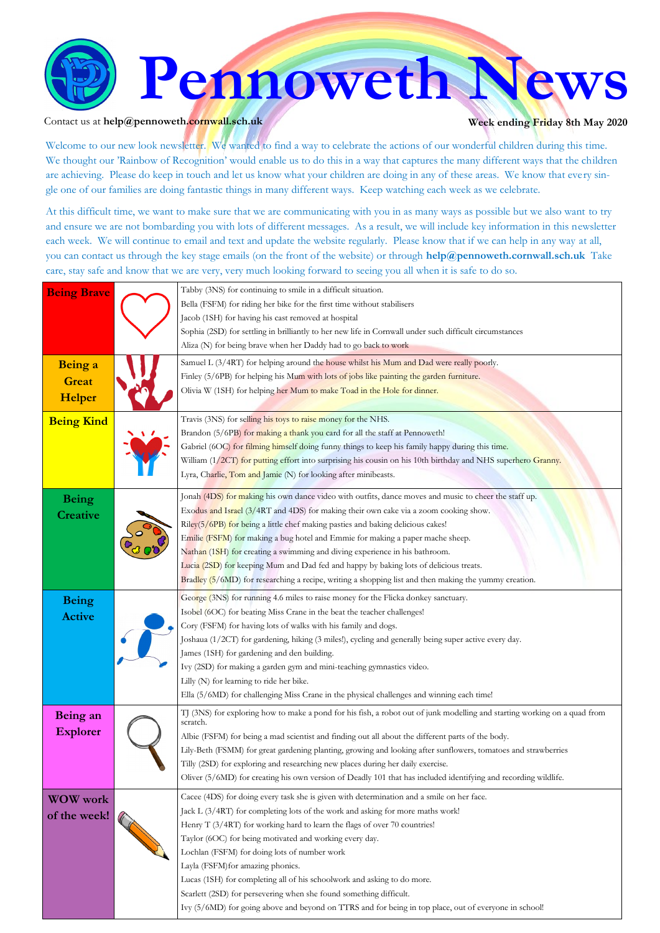

#### Contact us at **help@pennoweth.cornwall.sch.uk Week ending Friday 8th May 2020**

Welcome to our new look newsletter. We wanted to find a way to celebrate the actions of our wonderful children during this time. We thought our 'Rainbow of Recognition' would enable us to do this in a way that captures the many different ways that the children are achieving. Please do keep in touch and let us know what your children are doing in any of these areas. We know that every single one of our families are doing fantastic things in many different ways. Keep watching each week as we celebrate.

At this difficult time, we want to make sure that we are communicating with you in as many ways as possible but we also want to try and ensure we are not bombarding you with lots of different messages. As a result, we will include key information in this newsletter each week. We will continue to email and text and update the website regularly. Please know that if we can help in any way at all, you can contact us through the key stage emails (on the front of the website) or through **help@pennoweth.cornwall.sch.uk** Take care, stay safe and know that we are very, very much looking forward to seeing you all when it is safe to do so.

| <b>Being Brave</b> | Tabby (3NS) for continuing to smile in a difficult situation.                                                             |
|--------------------|---------------------------------------------------------------------------------------------------------------------------|
|                    | Bella (FSFM) for riding her bike for the first time without stabilisers                                                   |
|                    | Jacob (1SH) for having his cast removed at hospital                                                                       |
|                    | Sophia (2SD) for settling in brilliantly to her new life in Cornwall under such difficult circumstances                   |
|                    | Aliza (N) for being brave when her Daddy had to go back to work                                                           |
| Being a            | Samuel L (3/4RT) for helping around the house whilst his Mum and Dad were really poorly.                                  |
| <b>Great</b>       | Finley (5/6PB) for helping his Mum with lots of jobs like painting the garden furniture.                                  |
|                    | Olivia W (1SH) for helping her Mum to make Toad in the Hole for dinner.                                                   |
| Helper             |                                                                                                                           |
| <b>Being Kind</b>  | Travis (3NS) for selling his toys to raise money for the NHS.                                                             |
|                    | Brandon (5/6PB) for making a thank you card for all the staff at Pennoweth!                                               |
|                    | Gabriel (6OC) for filming himself doing funny things to keep his family happy during this time.                           |
|                    | William (1/2CT) for putting effort into surprising his cousin on his 10th birthday and NHS superhero Granny.              |
|                    | Lyra, Charlie, Tom and Jamie (N) for looking after minibeasts.                                                            |
| <b>Being</b>       | Jonah (4DS) for making his own dance video with outfits, dance moves and music to cheer the staff up.                     |
| Creative           | Exodus and Israel (3/4RT and 4DS) for making their own cake via a zoom cooking show.                                      |
|                    | Riley(5/6PB) for being a little chef making pasties and baking delicious cakes!                                           |
|                    | Emilie (FSFM) for making a bug hotel and Emmie for making a paper mache sheep.                                            |
|                    | Nathan (1SH) for creating a swimming and diving experience in his bathroom.                                               |
|                    | Lucia (2SD) for keeping Mum and Dad fed and happy by baking lots of delicious treats.                                     |
|                    | Bradley (5/6MD) for researching a recipe, writing a shopping list and then making the yummy creation.                     |
| <b>Being</b>       | George (3NS) for running 4.6 miles to raise money for the Flicka donkey sanctuary.                                        |
|                    | Isobel (6OC) for beating Miss Crane in the beat the teacher challenges!                                                   |
| <b>Active</b>      | Cory (FSFM) for having lots of walks with his family and dogs.                                                            |
|                    | Joshaua (1/2CT) for gardening, hiking (3 miles!), cycling and generally being super active every day.                     |
|                    | James (1SH) for gardening and den building.                                                                               |
|                    | Ivy (2SD) for making a garden gym and mini-teaching gymnastics video.                                                     |
|                    | Lilly (N) for learning to ride her bike.                                                                                  |
|                    | Ella (5/6MD) for challenging Miss Crane in the physical challenges and winning each time!                                 |
| Being an           | TJ (3NS) for exploring how to make a pond for his fish, a robot out of junk modelling and starting working on a quad from |
| <b>Explorer</b>    | scratch.                                                                                                                  |
|                    | Albie (FSFM) for being a mad scientist and finding out all about the different parts of the body.                         |
|                    | Lily-Beth (FSMM) for great gardening planting, growing and looking after sunflowers, tomatoes and strawberries            |
|                    | Tilly (2SD) for exploring and researching new places during her daily exercise.                                           |
|                    | Oliver (5/6MD) for creating his own version of Deadly 101 that has included identifying and recording wildlife.           |
| <b>WOW</b> work    | Cacee (4DS) for doing every task she is given with determination and a smile on her face.                                 |
| of the week!       | Jack L (3/4RT) for completing lots of the work and asking for more maths work!                                            |
|                    | Henry T (3/4RT) for working hard to learn the flags of over 70 countries!                                                 |
|                    | Taylor (6OC) for being motivated and working every day.                                                                   |
|                    | Lochlan (FSFM) for doing lots of number work                                                                              |
|                    | Layla (FSFM) for amazing phonics.                                                                                         |
|                    | Lucas (1SH) for completing all of his schoolwork and asking to do more.                                                   |
|                    | Scarlett (2SD) for persevering when she found something difficult.                                                        |
|                    | Ivy (5/6MD) for going above and beyond on TTRS and for being in top place, out of everyone in school!                     |